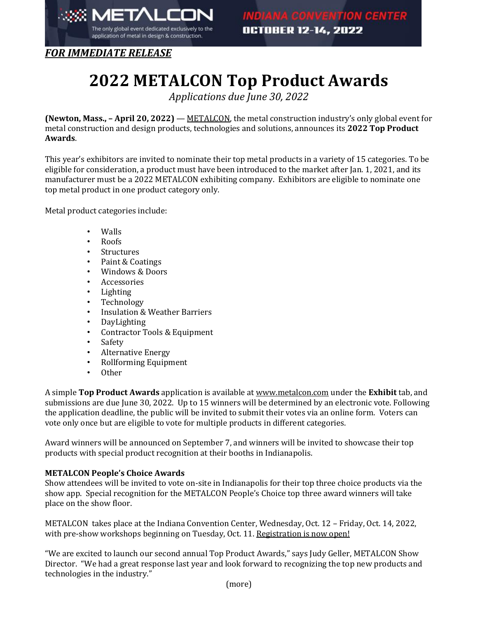

*FOR IMMEDIATE RELEASE*

## **2022 METALCON Top Product Awards**

*Applications due June 30, 2022*

**(Newton, Mass., – April 20, 2022)** — [METALCON](http://www.metalcon.com/), the metal construction industry's only global event for metal construction and design products, technologies and solutions, announces its **2022 Top Product Awards**.

This year's exhibitors are invited to nominate their top metal products in a variety of 15 categories. To be eligible for consideration, a product must have been introduced to the market after Jan. 1, 2021, and its manufacturer must be a 2022 METALCON exhibiting company. Exhibitors are eligible to nominate one top metal product in one product category only.

Metal product categories include:

- Walls
- Roofs
- **Structures**
- Paint & Coatings
- Windows & Doors
- **Accessories**
- **Lighting**
- Technology
- Insulation & Weather Barriers
- DayLighting
- Contractor Tools & Equipment
- **Safety**
- Alternative Energy
- Rollforming Equipment
- Other

A simple **Top Product Awards** application is available at [www.metalcon.com](https://share.hsforms.com/1N2WNED9IRMq99eY8Jos2Iw47jh1) under the **Exhibit** tab, and submissions are due June 30, 2022. Up to 15 winners will be determined by an electronic vote. Following the application deadline, the public will be invited to submit their votes via an online form. Voters can vote only once but are eligible to vote for multiple products in different categories.

Award winners will be announced on September 7, and winners will be invited to showcase their top products with special product recognition at their booths in Indianapolis.

## **METALCON People's Choice Awards**

Show attendees will be invited to vote on-site in Indianapolis for their top three choice products via the show app. Special recognition for the METALCON People's Choice top three award winners will take place on the show floor.

METALCON takes place at the Indiana Convention Center, Wednesday, Oct. 12 – Friday, Oct. 14, 2022, with pre-show workshops beginning on Tuesday, Oct. 11[. Registration is now open!](https://www.xpressreg.net/register/metl1022/landing.asp?&_ga=2.222426131.927806464.1649789593-1414962894.1649362881)

"We are excited to launch our second annual Top Product Awards," says Judy Geller, METALCON Show Director. "We had a great response last year and look forward to recognizing the top new products and technologies in the industry."